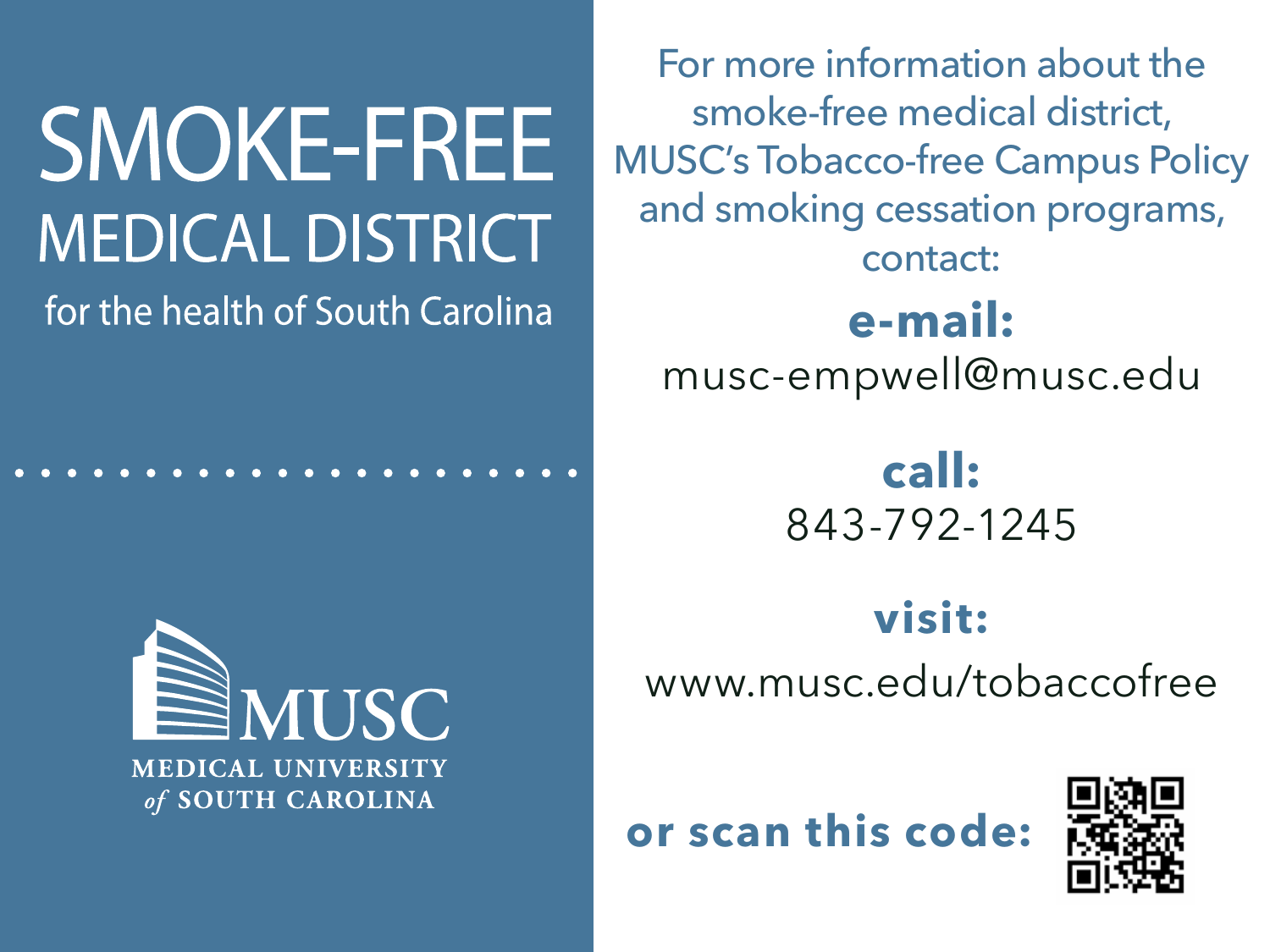## **SMOKE-FREE MEDICAL DISTRICT**

for the health of South Carolina



**e-mail:** musc-empwell@musc.edu **call:**  843-792-1245 For more information about the smoke-free medical district, MUSC's Tobacco-free Campus Policy and smoking cessation programs, contact:

**visit:** www.musc.edu/tobaccofree

 **or scan this code:**